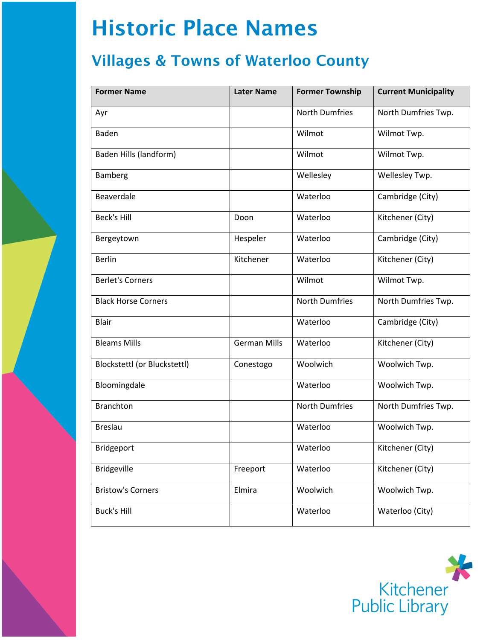## Historic Place Names

## Villages & Towns of Waterloo County

| <b>Former Name</b>           | <b>Later Name</b>   | <b>Former Township</b> | <b>Current Municipality</b> |
|------------------------------|---------------------|------------------------|-----------------------------|
| Ayr                          |                     | <b>North Dumfries</b>  | North Dumfries Twp.         |
| Baden                        |                     | Wilmot                 | Wilmot Twp.                 |
| Baden Hills (landform)       |                     | Wilmot                 | Wilmot Twp.                 |
| Bamberg                      |                     | Wellesley              | Wellesley Twp.              |
| Beaverdale                   |                     | Waterloo               | Cambridge (City)            |
| <b>Beck's Hill</b>           | Doon                | Waterloo               | Kitchener (City)            |
| Bergeytown                   | Hespeler            | Waterloo               | Cambridge (City)            |
| <b>Berlin</b>                | Kitchener           | Waterloo               | Kitchener (City)            |
| <b>Berlet's Corners</b>      |                     | Wilmot                 | Wilmot Twp.                 |
| <b>Black Horse Corners</b>   |                     | <b>North Dumfries</b>  | North Dumfries Twp.         |
| <b>Blair</b>                 |                     | Waterloo               | Cambridge (City)            |
| <b>Bleams Mills</b>          | <b>German Mills</b> | Waterloo               | Kitchener (City)            |
| Blockstettl (or Bluckstettl) | Conestogo           | Woolwich               | Woolwich Twp.               |
| Bloomingdale                 |                     | Waterloo               | Woolwich Twp.               |
| <b>Branchton</b>             |                     | <b>North Dumfries</b>  | North Dumfries Twp.         |
| <b>Breslau</b>               |                     | Waterloo               | Woolwich Twp.               |
| Bridgeport                   |                     | Waterloo               | Kitchener (City)            |
| <b>Bridgeville</b>           | Freeport            | Waterloo               | Kitchener (City)            |
| <b>Bristow's Corners</b>     | Elmira              | Woolwich               | Woolwich Twp.               |
| <b>Buck's Hill</b>           |                     | Waterloo               | Waterloo (City)             |

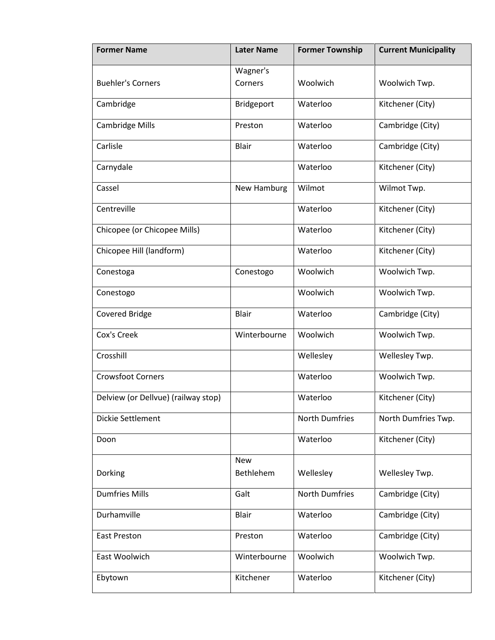| <b>Former Name</b>                  | <b>Later Name</b>       | <b>Former Township</b> | <b>Current Municipality</b> |
|-------------------------------------|-------------------------|------------------------|-----------------------------|
| <b>Buehler's Corners</b>            | Wagner's<br>Corners     | Woolwich               | Woolwich Twp.               |
| Cambridge                           | Bridgeport              | Waterloo               | Kitchener (City)            |
| <b>Cambridge Mills</b>              | Preston                 | Waterloo               | Cambridge (City)            |
| Carlisle                            | Blair                   | Waterloo               | Cambridge (City)            |
| Carnydale                           |                         | Waterloo               | Kitchener (City)            |
| Cassel                              | New Hamburg             | Wilmot                 | Wilmot Twp.                 |
| Centreville                         |                         | Waterloo               | Kitchener (City)            |
| Chicopee (or Chicopee Mills)        |                         | Waterloo               | Kitchener (City)            |
| Chicopee Hill (landform)            |                         | Waterloo               | Kitchener (City)            |
| Conestoga                           | Conestogo               | Woolwich               | Woolwich Twp.               |
| Conestogo                           |                         | Woolwich               | Woolwich Twp.               |
| Covered Bridge                      | Blair                   | Waterloo               | Cambridge (City)            |
| Cox's Creek                         | Winterbourne            | Woolwich               | Woolwich Twp.               |
| Crosshill                           |                         | Wellesley              | Wellesley Twp.              |
| <b>Crowsfoot Corners</b>            |                         | Waterloo               | Woolwich Twp.               |
| Delview (or Dellvue) (railway stop) |                         | Waterloo               | Kitchener (City)            |
| Dickie Settlement                   |                         | <b>North Dumfries</b>  | North Dumfries Twp.         |
| Doon                                |                         | Waterloo               | Kitchener (City)            |
| Dorking                             | <b>New</b><br>Bethlehem | Wellesley              | Wellesley Twp.              |
| <b>Dumfries Mills</b>               | Galt                    | <b>North Dumfries</b>  | Cambridge (City)            |
| Durhamville                         | Blair                   | Waterloo               | Cambridge (City)            |
| <b>East Preston</b>                 | Preston                 | Waterloo               | Cambridge (City)            |
| East Woolwich                       | Winterbourne            | Woolwich               | Woolwich Twp.               |
| Ebytown                             | Kitchener               | Waterloo               | Kitchener (City)            |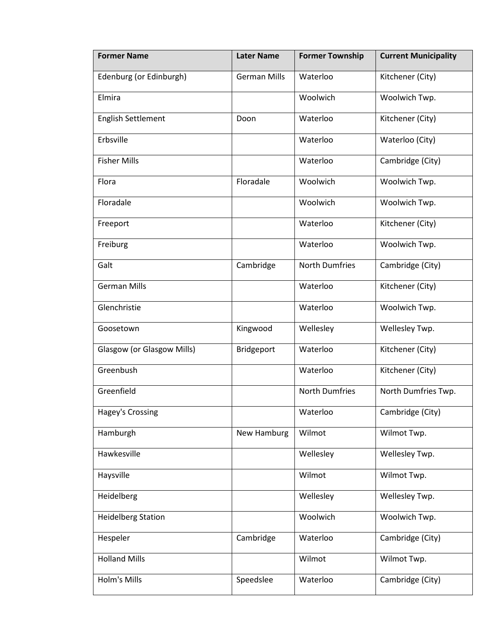| <b>Former Name</b>         | <b>Later Name</b>   | <b>Former Township</b> | <b>Current Municipality</b> |
|----------------------------|---------------------|------------------------|-----------------------------|
| Edenburg (or Edinburgh)    | <b>German Mills</b> | Waterloo               | Kitchener (City)            |
| Elmira                     |                     | Woolwich               | Woolwich Twp.               |
| <b>English Settlement</b>  | Doon                | Waterloo               | Kitchener (City)            |
| Erbsville                  |                     | Waterloo               | Waterloo (City)             |
| <b>Fisher Mills</b>        |                     | Waterloo               | Cambridge (City)            |
| Flora                      | Floradale           | Woolwich               | Woolwich Twp.               |
| Floradale                  |                     | Woolwich               | Woolwich Twp.               |
| Freeport                   |                     | Waterloo               | Kitchener (City)            |
| Freiburg                   |                     | Waterloo               | Woolwich Twp.               |
| Galt                       | Cambridge           | <b>North Dumfries</b>  | Cambridge (City)            |
| <b>German Mills</b>        |                     | Waterloo               | Kitchener (City)            |
| Glenchristie               |                     | Waterloo               | Woolwich Twp.               |
| Goosetown                  | Kingwood            | Wellesley              | Wellesley Twp.              |
| Glasgow (or Glasgow Mills) | Bridgeport          | Waterloo               | Kitchener (City)            |
| Greenbush                  |                     | Waterloo               | Kitchener (City)            |
| Greenfield                 |                     | <b>North Dumfries</b>  | North Dumfries Twp.         |
| <b>Hagey's Crossing</b>    |                     | Waterloo               | Cambridge (City)            |
| Hamburgh                   | New Hamburg         | Wilmot                 | Wilmot Twp.                 |
| Hawkesville                |                     | Wellesley              | Wellesley Twp.              |
| Haysville                  |                     | Wilmot                 | Wilmot Twp.                 |
| Heidelberg                 |                     | Wellesley              | Wellesley Twp.              |
| <b>Heidelberg Station</b>  |                     | Woolwich               | Woolwich Twp.               |
| Hespeler                   | Cambridge           | Waterloo               | Cambridge (City)            |
| <b>Holland Mills</b>       |                     | Wilmot                 | Wilmot Twp.                 |
| Holm's Mills               | Speedslee           | Waterloo               | Cambridge (City)            |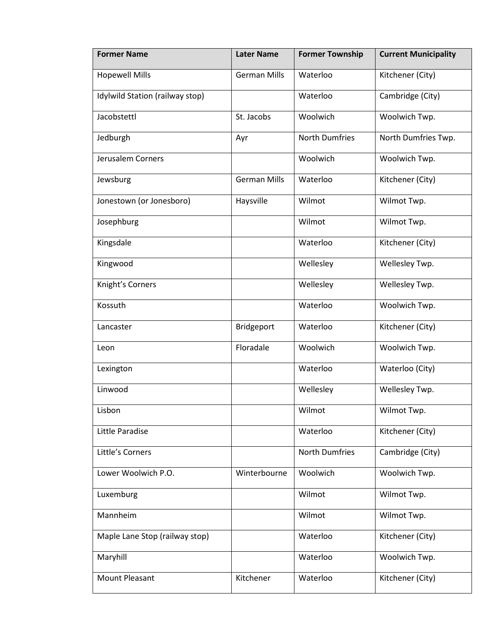| <b>Former Name</b>              | <b>Later Name</b>   | <b>Former Township</b> | <b>Current Municipality</b> |
|---------------------------------|---------------------|------------------------|-----------------------------|
| <b>Hopewell Mills</b>           | <b>German Mills</b> | Waterloo               | Kitchener (City)            |
| Idylwild Station (railway stop) |                     | Waterloo               | Cambridge (City)            |
| Jacobstettl                     | St. Jacobs          | Woolwich               | Woolwich Twp.               |
| Jedburgh                        | Ayr                 | <b>North Dumfries</b>  | North Dumfries Twp.         |
| Jerusalem Corners               |                     | Woolwich               | Woolwich Twp.               |
| Jewsburg                        | <b>German Mills</b> | Waterloo               | Kitchener (City)            |
| Jonestown (or Jonesboro)        | Haysville           | Wilmot                 | Wilmot Twp.                 |
| Josephburg                      |                     | Wilmot                 | Wilmot Twp.                 |
| Kingsdale                       |                     | Waterloo               | Kitchener (City)            |
| Kingwood                        |                     | Wellesley              | Wellesley Twp.              |
| Knight's Corners                |                     | Wellesley              | Wellesley Twp.              |
| Kossuth                         |                     | Waterloo               | Woolwich Twp.               |
| Lancaster                       | Bridgeport          | Waterloo               | Kitchener (City)            |
| Leon                            | Floradale           | Woolwich               | Woolwich Twp.               |
| Lexington                       |                     | Waterloo               | Waterloo (City)             |
| Linwood                         |                     | Wellesley              | Wellesley Twp.              |
| Lisbon                          |                     | Wilmot                 | Wilmot Twp.                 |
| Little Paradise                 |                     | Waterloo               | Kitchener (City)            |
| Little's Corners                |                     | <b>North Dumfries</b>  | Cambridge (City)            |
| Lower Woolwich P.O.             | Winterbourne        | Woolwich               | Woolwich Twp.               |
| Luxemburg                       |                     | Wilmot                 | Wilmot Twp.                 |
| Mannheim                        |                     | Wilmot                 | Wilmot Twp.                 |
| Maple Lane Stop (railway stop)  |                     | Waterloo               | Kitchener (City)            |
| Maryhill                        |                     | Waterloo               | Woolwich Twp.               |
| Mount Pleasant                  | Kitchener           | Waterloo               | Kitchener (City)            |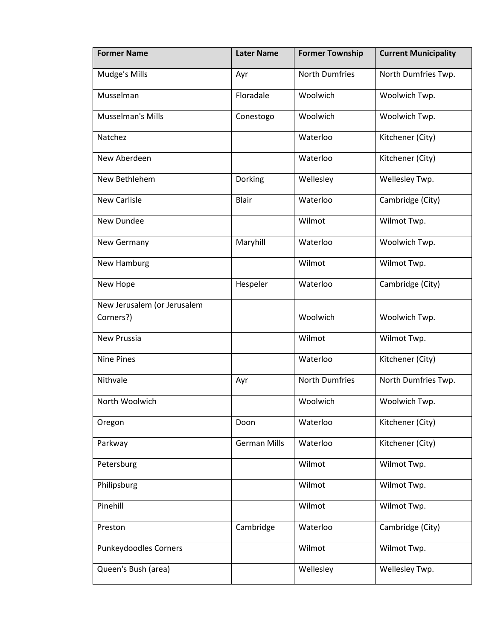| <b>Former Name</b>          | <b>Later Name</b>   | <b>Former Township</b> | <b>Current Municipality</b> |
|-----------------------------|---------------------|------------------------|-----------------------------|
| Mudge's Mills               | Ayr                 | <b>North Dumfries</b>  | North Dumfries Twp.         |
| Musselman                   | Floradale           | Woolwich               | Woolwich Twp.               |
| Musselman's Mills           | Conestogo           | Woolwich               | Woolwich Twp.               |
| Natchez                     |                     | Waterloo               | Kitchener (City)            |
| New Aberdeen                |                     | Waterloo               | Kitchener (City)            |
| New Bethlehem               | Dorking             | Wellesley              | Wellesley Twp.              |
| <b>New Carlisle</b>         | <b>Blair</b>        | Waterloo               | Cambridge (City)            |
| New Dundee                  |                     | Wilmot                 | Wilmot Twp.                 |
| New Germany                 | Maryhill            | Waterloo               | Woolwich Twp.               |
| New Hamburg                 |                     | Wilmot                 | Wilmot Twp.                 |
| New Hope                    | Hespeler            | Waterloo               | Cambridge (City)            |
| New Jerusalem (or Jerusalem |                     |                        |                             |
| Corners?)                   |                     | Woolwich               | Woolwich Twp.               |
| <b>New Prussia</b>          |                     | Wilmot                 | Wilmot Twp.                 |
| <b>Nine Pines</b>           |                     | Waterloo               | Kitchener (City)            |
| Nithvale                    | Ayr                 | <b>North Dumfries</b>  | North Dumfries Twp.         |
| North Woolwich              |                     | Woolwich               | Woolwich Twp.               |
| Oregon                      | Doon                | Waterloo               | Kitchener (City)            |
| Parkway                     | <b>German Mills</b> | Waterloo               | Kitchener (City)            |
| Petersburg                  |                     | Wilmot                 | Wilmot Twp.                 |
| Philipsburg                 |                     | Wilmot                 | Wilmot Twp.                 |
| Pinehill                    |                     | Wilmot                 | Wilmot Twp.                 |
| Preston                     | Cambridge           | Waterloo               | Cambridge (City)            |
| Punkeydoodles Corners       |                     | Wilmot                 | Wilmot Twp.                 |
| Queen's Bush (area)         |                     | Wellesley              | Wellesley Twp.              |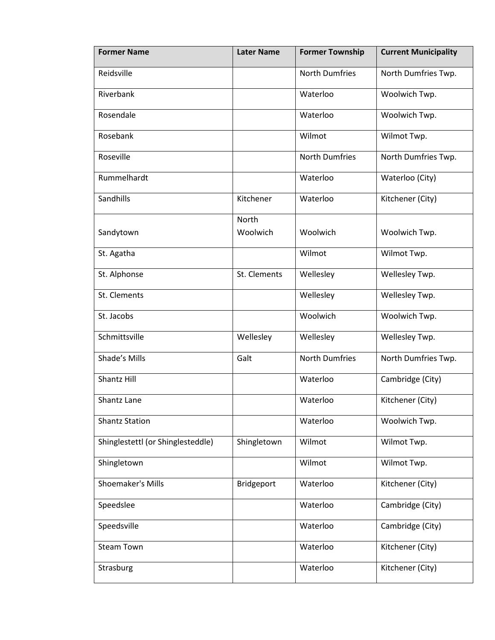| <b>Former Name</b>                | <b>Later Name</b> | <b>Former Township</b> | <b>Current Municipality</b> |
|-----------------------------------|-------------------|------------------------|-----------------------------|
| Reidsville                        |                   | <b>North Dumfries</b>  | North Dumfries Twp.         |
| Riverbank                         |                   | Waterloo               | Woolwich Twp.               |
| Rosendale                         |                   | Waterloo               | Woolwich Twp.               |
| Rosebank                          |                   | Wilmot                 | Wilmot Twp.                 |
| Roseville                         |                   | <b>North Dumfries</b>  | North Dumfries Twp.         |
| Rummelhardt                       |                   | Waterloo               | Waterloo (City)             |
| Sandhills                         | Kitchener         | Waterloo               | Kitchener (City)            |
|                                   | <b>North</b>      |                        |                             |
| Sandytown                         | Woolwich          | Woolwich               | Woolwich Twp.               |
| St. Agatha                        |                   | Wilmot                 | Wilmot Twp.                 |
| St. Alphonse                      | St. Clements      | Wellesley              | Wellesley Twp.              |
| St. Clements                      |                   | Wellesley              | Wellesley Twp.              |
| St. Jacobs                        |                   | Woolwich               | Woolwich Twp.               |
| Schmittsville                     | Wellesley         | Wellesley              | Wellesley Twp.              |
| Shade's Mills                     | Galt              | <b>North Dumfries</b>  | North Dumfries Twp.         |
| Shantz Hill                       |                   | Waterloo               | Cambridge (City)            |
| Shantz Lane                       |                   | Waterloo               | Kitchener (City)            |
| <b>Shantz Station</b>             |                   | Waterloo               | Woolwich Twp.               |
| Shinglestettl (or Shinglesteddle) | Shingletown       | Wilmot                 | Wilmot Twp.                 |
| Shingletown                       |                   | Wilmot                 | Wilmot Twp.                 |
| Shoemaker's Mills                 | Bridgeport        | Waterloo               | Kitchener (City)            |
| Speedslee                         |                   | Waterloo               | Cambridge (City)            |
| Speedsville                       |                   | Waterloo               | Cambridge (City)            |
| <b>Steam Town</b>                 |                   | Waterloo               | Kitchener (City)            |
| Strasburg                         |                   | Waterloo               | Kitchener (City)            |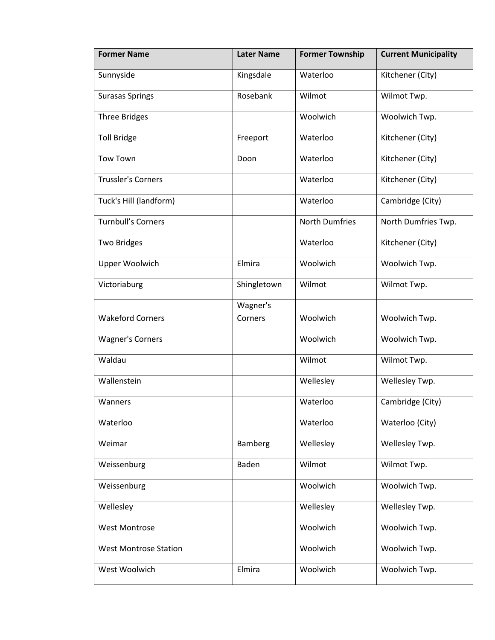| <b>Former Name</b>           | <b>Later Name</b>   | <b>Former Township</b> | <b>Current Municipality</b> |
|------------------------------|---------------------|------------------------|-----------------------------|
| Sunnyside                    | Kingsdale           | Waterloo               | Kitchener (City)            |
| <b>Surasas Springs</b>       | Rosebank            | Wilmot                 | Wilmot Twp.                 |
| <b>Three Bridges</b>         |                     | Woolwich               | Woolwich Twp.               |
| <b>Toll Bridge</b>           | Freeport            | Waterloo               | Kitchener (City)            |
| <b>Tow Town</b>              | Doon                | Waterloo               | Kitchener (City)            |
| <b>Trussler's Corners</b>    |                     | Waterloo               | Kitchener (City)            |
| Tuck's Hill (landform)       |                     | Waterloo               | Cambridge (City)            |
| <b>Turnbull's Corners</b>    |                     | <b>North Dumfries</b>  | North Dumfries Twp.         |
| <b>Two Bridges</b>           |                     | Waterloo               | Kitchener (City)            |
| Upper Woolwich               | Elmira              | Woolwich               | Woolwich Twp.               |
| Victoriaburg                 | Shingletown         | Wilmot                 | Wilmot Twp.                 |
| <b>Wakeford Corners</b>      | Wagner's<br>Corners | Woolwich               | Woolwich Twp.               |
| <b>Wagner's Corners</b>      |                     | Woolwich               | Woolwich Twp.               |
| Waldau                       |                     | Wilmot                 | Wilmot Twp.                 |
| Wallenstein                  |                     | Wellesley              | Wellesley Twp.              |
| Wanners                      |                     | Waterloo               | Cambridge (City)            |
| Waterloo                     |                     | Waterloo               | Waterloo (City)             |
| Weimar                       | Bamberg             | Wellesley              | Wellesley Twp.              |
| Weissenburg                  | Baden               | Wilmot                 | Wilmot Twp.                 |
| Weissenburg                  |                     | Woolwich               | Woolwich Twp.               |
| Wellesley                    |                     | Wellesley              | Wellesley Twp.              |
| <b>West Montrose</b>         |                     | Woolwich               | Woolwich Twp.               |
| <b>West Montrose Station</b> |                     | Woolwich               | Woolwich Twp.               |
| West Woolwich                | Elmira              | Woolwich               | Woolwich Twp.               |